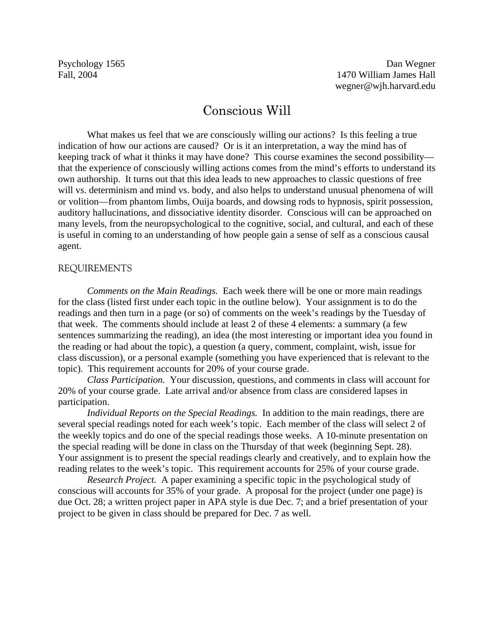# Conscious Will

What makes us feel that we are consciously willing our actions? Is this feeling a true indication of how our actions are caused? Or is it an interpretation, a way the mind has of keeping track of what it thinks it may have done? This course examines the second possibility that the experience of consciously willing actions comes from the mind's efforts to understand its own authorship. It turns out that this idea leads to new approaches to classic questions of free will vs. determinism and mind vs. body, and also helps to understand unusual phenomena of will or volition—from phantom limbs, Ouija boards, and dowsing rods to hypnosis, spirit possession, auditory hallucinations, and dissociative identity disorder. Conscious will can be approached on many levels, from the neuropsychological to the cognitive, social, and cultural, and each of these is useful in coming to an understanding of how people gain a sense of self as a conscious causal agent.

## REQUIREMENTS

*Comments on the Main Readings.* Each week there will be one or more main readings for the class (listed first under each topic in the outline below). Your assignment is to do the readings and then turn in a page (or so) of comments on the week's readings by the Tuesday of that week. The comments should include at least 2 of these 4 elements: a summary (a few sentences summarizing the reading), an idea (the most interesting or important idea you found in the reading or had about the topic), a question (a query, comment, complaint, wish, issue for class discussion), or a personal example (something you have experienced that is relevant to the topic). This requirement accounts for 20% of your course grade.

*Class Participation.* Your discussion, questions, and comments in class will account for 20% of your course grade. Late arrival and/or absence from class are considered lapses in participation.

*Individual Reports on the Special Readings.* In addition to the main readings, there are several special readings noted for each week's topic. Each member of the class will select 2 of the weekly topics and do one of the special readings those weeks. A 10-minute presentation on the special reading will be done in class on the Thursday of that week (beginning Sept. 28). Your assignment is to present the special readings clearly and creatively, and to explain how the reading relates to the week's topic. This requirement accounts for 25% of your course grade.

*Research Project.* A paper examining a specific topic in the psychological study of conscious will accounts for 35% of your grade. A proposal for the project (under one page) is due Oct. 28; a written project paper in APA style is due Dec. 7; and a brief presentation of your project to be given in class should be prepared for Dec. 7 as well.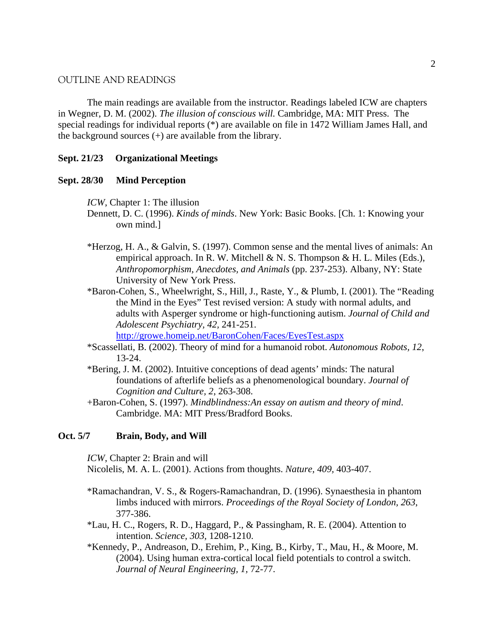## OUTLINE AND READINGS

The main readings are available from the instructor. Readings labeled ICW are chapters in Wegner, D. M. (2002). *The illusion of conscious will.* Cambridge, MA: MIT Press. The special readings for individual reports (\*) are available on file in 1472 William James Hall, and the background sources (+) are available from the library.

## **Sept. 21/23 Organizational Meetings**

#### **Sept. 28/30 Mind Perception**

*ICW*, Chapter 1: The illusion

- Dennett, D. C. (1996). *Kinds of minds*. New York: Basic Books. [Ch. 1: Knowing your own mind.]
- \*Herzog, H. A., & Galvin, S. (1997). Common sense and the mental lives of animals: An empirical approach. In R. W. Mitchell & N. S. Thompson & H. L. Miles (Eds.), *Anthropomorphism, Anecdotes, and Animals* (pp. 237-253). Albany, NY: State University of New York Press.
- \*Baron-Cohen, S., Wheelwright, S., Hill, J., Raste, Y., & Plumb, I. (2001). The "Reading the Mind in the Eyes" Test revised version: A study with normal adults, and adults with Asperger syndrome or high-functioning autism. *Journal of Child and Adolescent Psychiatry, 42,* 241-251.

<http://growe.homeip.net/BaronCohen/Faces/EyesTest.aspx>

- \*Scassellati, B. (2002). Theory of mind for a humanoid robot. *Autonomous Robots, 12*, 13-24.
- \*Bering, J. M. (2002). Intuitive conceptions of dead agents' minds: The natural foundations of afterlife beliefs as a phenomenological boundary. *Journal of Cognition and Culture, 2*, 263-308.
- +Baron-Cohen, S. (1997). *Mindblindness:An essay on autism and theory of mind*. Cambridge. MA: MIT Press/Bradford Books.

## **Oct. 5/7 Brain, Body, and Will**

*ICW*, Chapter 2: Brain and will

- Nicolelis, M. A. L. (2001). Actions from thoughts. *Nature, 409,* 403-407.
- \*Ramachandran, V. S., & Rogers-Ramachandran, D. (1996). Synaesthesia in phantom limbs induced with mirrors. *Proceedings of the Royal Society of London, 263*, 377-386.
- \*Lau, H. C., Rogers, R. D., Haggard, P., & Passingham, R. E. (2004). Attention to intention. *Science, 303,* 1208-1210.
- \*Kennedy, P., Andreason, D., Erehim, P., King, B., Kirby, T., Mau, H., & Moore, M. (2004). Using human extra-cortical local field potentials to control a switch. *Journal of Neural Engineering, 1,* 72-77.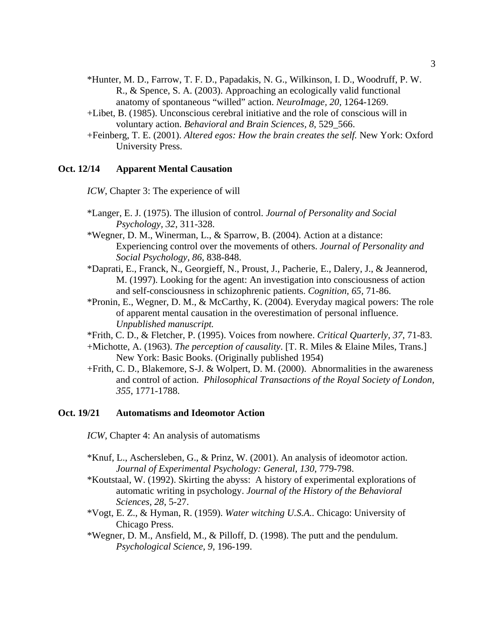- \*Hunter, M. D., Farrow, T. F. D., Papadakis, N. G., Wilkinson, I. D., Woodruff, P. W. R., & Spence, S. A. (2003). Approaching an ecologically valid functional anatomy of spontaneous "willed" action. *NeuroImage, 20,* 1264-1269.
- +Libet, B. (1985). Unconscious cerebral initiative and the role of conscious will in voluntary action. *Behavioral and Brain Sciences, 8*, 529\_566.
- +Feinberg, T. E. (2001). *Altered egos: How the brain creates the self.* New York: Oxford University Press.

## **Oct. 12/14 Apparent Mental Causation**

*ICW*, Chapter 3: The experience of will

- \*Langer, E. J. (1975). The illusion of control. *Journal of Personality and Social Psychology, 32*, 311-328.
- \*Wegner, D. M., Winerman, L., & Sparrow, B. (2004). Action at a distance: Experiencing control over the movements of others. *Journal of Personality and Social Psychology, 86,* 838-848.
- \*Daprati, E., Franck, N., Georgieff, N., Proust, J., Pacherie, E., Dalery, J., & Jeannerod, M. (1997). Looking for the agent: An investigation into consciousness of action and self-consciousness in schizophrenic patients. *Cognition, 65,* 71-86.
- \*Pronin, E., Wegner, D. M., & McCarthy, K. (2004). Everyday magical powers: The role of apparent mental causation in the overestimation of personal influence. *Unpublished manuscript.*
- \*Frith, C. D., & Fletcher, P. (1995). Voices from nowhere. *Critical Quarterly, 37*, 71-83.
- +Michotte, A. (1963). *The perception of causality*. [T. R. Miles & Elaine Miles, Trans.] New York: Basic Books. (Originally published 1954)
- +Frith, C. D., Blakemore, S-J. & Wolpert, D. M. (2000). Abnormalities in the awareness and control of action. *Philosophical Transactions of the Royal Society of London, 355*, 1771-1788.

#### **Oct. 19/21 Automatisms and Ideomotor Action**

- *ICW*, Chapter 4: An analysis of automatisms
- \*Knuf, L., Aschersleben, G., & Prinz, W. (2001). An analysis of ideomotor action. *Journal of Experimental Psychology: General, 130*, 779-798.
- \*Koutstaal, W. (1992). Skirting the abyss: A history of experimental explorations of automatic writing in psychology. *Journal of the History of the Behavioral Sciences, 28*, 5-27.
- \*Vogt, E. Z., & Hyman, R. (1959). *Water witching U.S.A..* Chicago: University of Chicago Press.
- \*Wegner, D. M., Ansfield, M., & Pilloff, D. (1998). The putt and the pendulum. *Psychological Science, 9,* 196-199.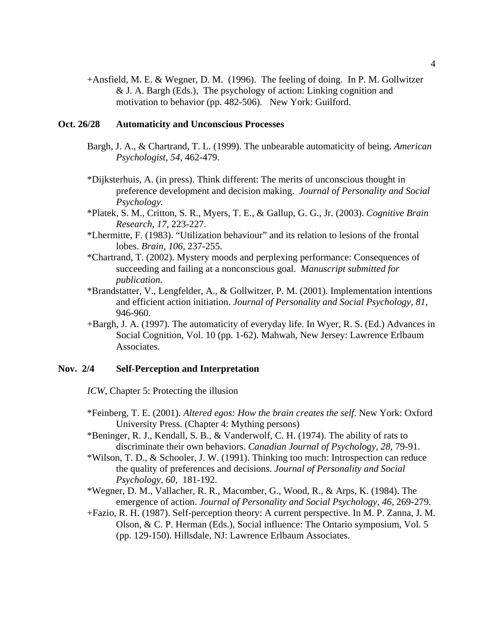+Ansfield, M. E. & Wegner, D. M. (1996). The feeling of doing. In P. M. Gollwitzer & J. A. Bargh (Eds.), The psychology of action: Linking cognition and motivation to behavior (pp. 482-506). New York: Guilford.

# **Oct. 26/28 Automaticity and Unconscious Processes**

- Bargh, J. A., & Chartrand, T. L. (1999). The unbearable automaticity of being. *American Psychologist, 54,* 462-479.
- \*Dijksterhuis, A. (in press). Think different: The merits of unconscious thought in preference development and decision making. *Journal of Personality and Social Psychology.*
- \*Platek, S. M., Critton, S. R., Myers, T. E., & Gallup, G. G., Jr. (2003). *Cognitive Brain Research, 17*, 223-227.
- \*Lhermitte, F. (1983). "Utilization behaviour" and its relation to lesions of the frontal lobes. *Brain, 106,* 237-255.
- \*Chartrand, T. (2002). Mystery moods and perplexing performance: Consequences of succeeding and failing at a nonconscious goal. *Manuscript submitted for publication.*
- \*Brandstatter, V., Lengfelder, A., & Gollwitzer, P. M. (2001). Implementation intentions and efficient action initiation. *Journal of Personality and Social Psychology, 81,* 946-960.
- +Bargh, J. A. (1997). The automaticity of everyday life. In Wyer, R. S. (Ed.) Advances in Social Cognition, Vol. 10 (pp. 1-62). Mahwah, New Jersey: Lawrence Erlbaum Associates.

## **Nov. 2/4 Self-Perception and Interpretation**

*ICW*, Chapter 5: Protecting the illusion

- \*Feinberg, T. E. (2001). *Altered egos: How the brain creates the self*. New York: Oxford University Press. (Chapter 4: Mything persons)
- \*Beninger, R. J., Kendall, S. B., & Vanderwolf, C. H. (1974). The ability of rats to discriminate their own behaviors. *Canadian Journal of Psychology, 28*, 79-91.
- \*Wilson, T. D., & Schooler, J. W. (1991). Thinking too much: Introspection can reduce the quality of preferences and decisions. *Journal of Personality and Social Psychology, 60,* 181-192.
- \*Wegner, D. M., Vallacher, R. R., Macomber, G., Wood, R., & Arps, K. (1984). The emergence of action. *Journal of Personality and Social Psychology, 46,* 269-279.
- +Fazio, R. H. (1987). Self-perception theory: A current perspective. In M. P. Zanna, J. M. Olson, & C. P. Herman (Eds.), Social influence: The Ontario symposium, Vol. 5 (pp. 129-150). Hillsdale, NJ: Lawrence Erlbaum Associates.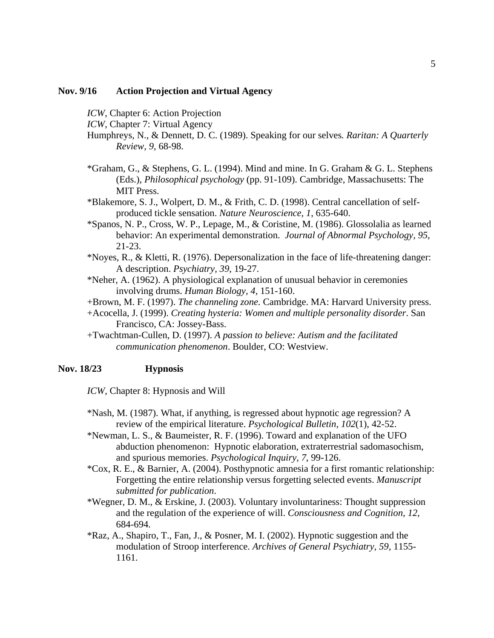# **Nov. 9/16 Action Projection and Virtual Agency**

*ICW*, Chapter 6: Action Projection

*ICW*, Chapter 7: Virtual Agency

- Humphreys, N., & Dennett, D. C. (1989). Speaking for our selves*. Raritan: A Quarterly Review, 9,* 68-98.
- \*Graham, G., & Stephens, G. L. (1994). Mind and mine. In G. Graham & G. L. Stephens (Eds.), *Philosophical psychology* (pp. 91-109). Cambridge, Massachusetts: The MIT Press.
- \*Blakemore, S. J., Wolpert, D. M., & Frith, C. D. (1998). Central cancellation of selfproduced tickle sensation. *Nature Neuroscience, 1*, 635-640.
- \*Spanos, N. P., Cross, W. P., Lepage, M., & Coristine, M. (1986). Glossolalia as learned behavior: An experimental demonstration. *Journal of Abnormal Psychology, 95*, 21-23.
- \*Noyes, R., & Kletti, R. (1976). Depersonalization in the face of life-threatening danger: A description. *Psychiatry, 39*, 19-27.
- \*Neher, A. (1962). A physiological explanation of unusual behavior in ceremonies involving drums. *Human Biology, 4,* 151-160.
- +Brown, M. F. (1997). *The channeling zone.* Cambridge. MA: Harvard University press.
- +Acocella, J. (1999). *Creating hysteria: Women and multiple personality disorder*. San Francisco, CA: Jossey-Bass.
- +Twachtman-Cullen, D. (1997). *A passion to believe: Autism and the facilitated communication phenomenon*. Boulder, CO: Westview.

### **Nov. 18/23 Hypnosis**

*ICW*, Chapter 8: Hypnosis and Will

- \*Nash, M. (1987). What, if anything, is regressed about hypnotic age regression? A review of the empirical literature. *Psychological Bulletin, 102*(1), 42-52.
- \*Newman, L. S., & Baumeister, R. F. (1996). Toward and explanation of the UFO abduction phenomenon: Hypnotic elaboration, extraterrestrial sadomasochism, and spurious memories. *Psychological Inquiry, 7*, 99-126.
- \*Cox, R. E., & Barnier, A. (2004). Posthypnotic amnesia for a first romantic relationship: Forgetting the entire relationship versus forgetting selected events. *Manuscript submitted for publication*.
- \*Wegner, D. M., & Erskine, J. (2003). Voluntary involuntariness: Thought suppression and the regulation of the experience of will. *Consciousness and Cognition, 12,*  684-694*.*
- \*Raz, A., Shapiro, T., Fan, J., & Posner, M. I. (2002). Hypnotic suggestion and the modulation of Stroop interference. *Archives of General Psychiatry, 59*, 1155- 1161.